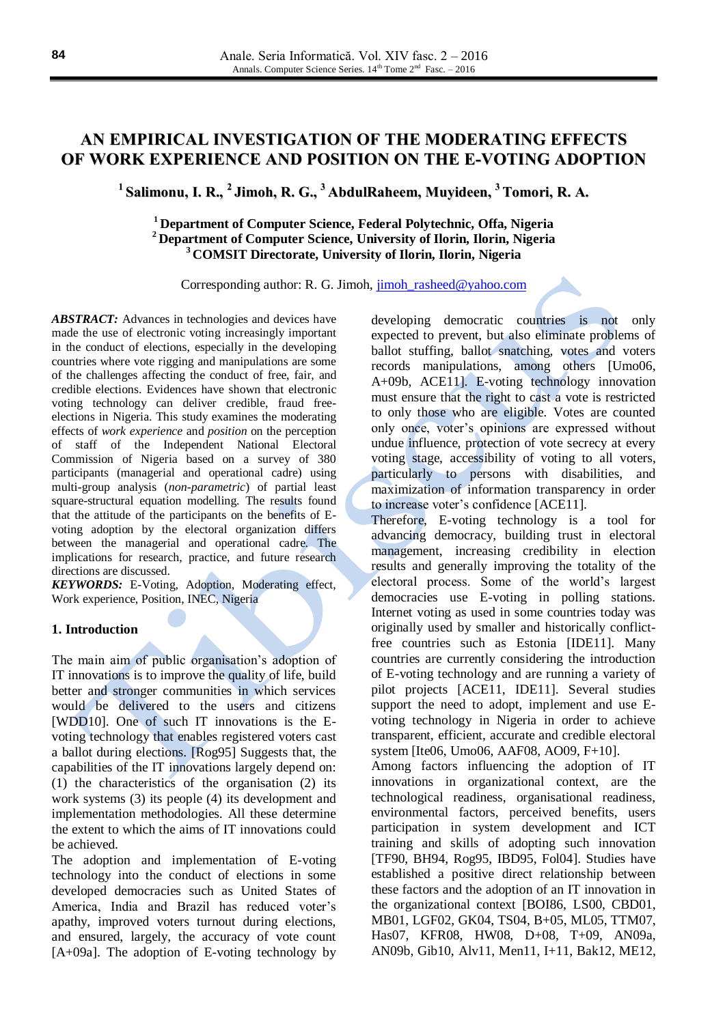# **AN EMPIRICAL INVESTIGATION OF THE MODERATING EFFECTS OF WORK EXPERIENCE AND POSITION ON THE E-VOTING ADOPTION**

**1 Salimonu, I. R., 2 Jimoh, R. G., <sup>3</sup> AbdulRaheem, Muyideen, <sup>3</sup> Tomori, R. A.**

## **<sup>1</sup> Department of Computer Science, Federal Polytechnic, Offa, Nigeria <sup>2</sup> Department of Computer Science, University of Ilorin, Ilorin, Nigeria <sup>3</sup> COMSIT Directorate, University of Ilorin, Ilorin, Nigeria**

Corresponding author: R. G. Jimoh, [jimoh\\_rasheed@yahoo.com](mailto:jimoh_rasheed@yahoo.com)

ABSTRACT: Advances in technologies and devices have made the use of electronic voting increasingly important in the conduct of elections, especially in the developing countries where vote rigging and manipulations are some of the challenges affecting the conduct of free, fair, and credible elections. Evidences have shown that electronic voting technology can deliver credible, fraud freeelections in Nigeria. This study examines the moderating effects of *work experience* and *position* on the perception of staff of the Independent National Electoral Commission of Nigeria based on a survey of 380 participants (managerial and operational cadre) using multi-group analysis (*non-parametric*) of partial least square-structural equation modelling. The results found that the attitude of the participants on the benefits of Evoting adoption by the electoral organization differs between the managerial and operational cadre. The implications for research, practice, and future research directions are discussed.

*KEYWORDS:* E-Voting, Adoption, Moderating effect, Work experience, Position, INEC, Nigeria

#### **1. Introduction**

The main aim of public organisation's adoption of IT innovations is to improve the quality of life, build better and stronger communities in which services would be delivered to the users and citizens [WDD10]. One of such IT innovations is the Evoting technology that enables registered voters cast a ballot during elections. [Rog95] Suggests that, the capabilities of the IT innovations largely depend on: (1) the characteristics of the organisation (2) its work systems (3) its people (4) its development and implementation methodologies. All these determine the extent to which the aims of IT innovations could be achieved.

The adoption and implementation of E-voting technology into the conduct of elections in some developed democracies such as United States of America, India and Brazil has reduced voter's apathy, improved voters turnout during elections, and ensured, largely, the accuracy of vote count  $[A+09a]$ . The adoption of E-voting technology by

developing democratic countries is not only expected to prevent, but also eliminate problems of ballot stuffing, ballot snatching, votes and voters records manipulations, among others [Umo06, A+09b, ACE11]. E-voting technology innovation must ensure that the right to cast a vote is restricted to only those who are eligible. Votes are counted only once, voter's opinions are expressed without undue influence, protection of vote secrecy at every voting stage, accessibility of voting to all voters, particularly to persons with disabilities, and maximization of information transparency in order to increase voter's confidence [ACE11].

Therefore, E-voting technology is a tool for advancing democracy, building trust in electoral management, increasing credibility in election results and generally improving the totality of the electoral process. Some of the world's largest democracies use E-voting in polling stations. Internet voting as used in some countries today was originally used by smaller and historically conflictfree countries such as Estonia [IDE11]. Many countries are currently considering the introduction of E-voting technology and are running a variety of pilot projects [ACE11, IDE11]. Several studies support the need to adopt, implement and use Evoting technology in Nigeria in order to achieve transparent, efficient, accurate and credible electoral system [Ite06, Umo06, AAF08, AO09, F+10].

Among factors influencing the adoption of IT innovations in organizational context, are the technological readiness, organisational readiness, environmental factors, perceived benefits, users participation in system development and ICT training and skills of adopting such innovation [TF90, BH94, Rog95, IBD95, Fol04]. Studies have established a positive direct relationship between these factors and the adoption of an IT innovation in the organizational context [BOI86, LS00, CBD01, MB01, LGF02, GK04, TS04, B+05, ML05, TTM07, Has07, KFR08, HW08, D+08, T+09, AN09a, AN09b, Gib10, Alv11, Men11, I+11, Bak12, ME12,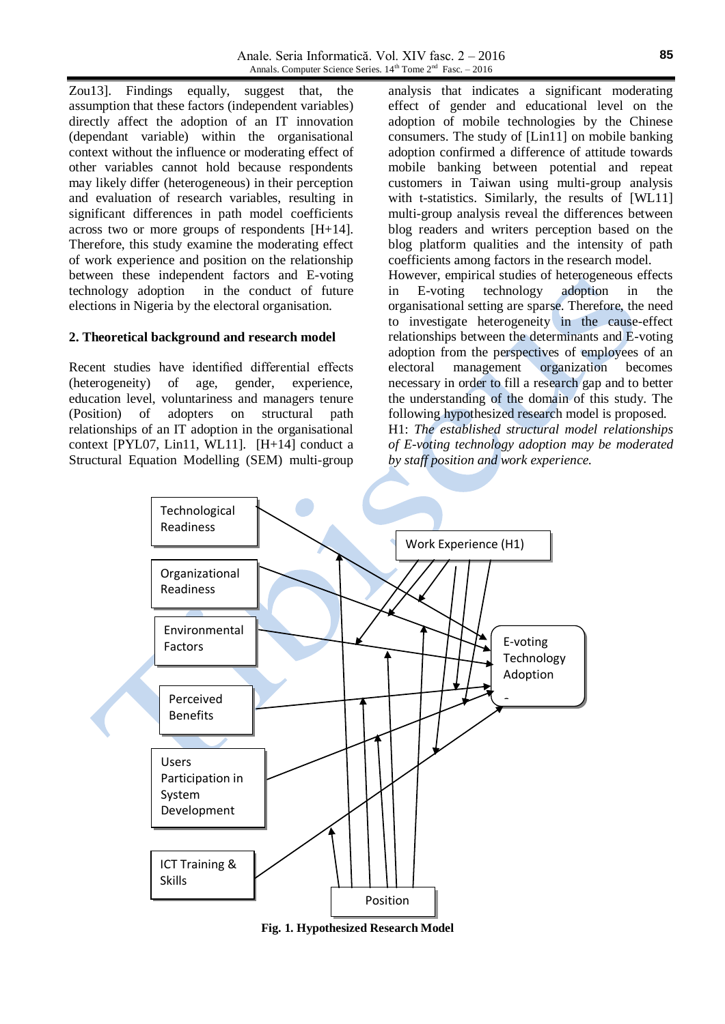Zou13]. Findings equally, suggest that, the assumption that these factors (independent variables) directly affect the adoption of an IT innovation (dependant variable) within the organisational context without the influence or moderating effect of other variables cannot hold because respondents may likely differ (heterogeneous) in their perception and evaluation of research variables, resulting in significant differences in path model coefficients across two or more groups of respondents [H+14]. Therefore, this study examine the moderating effect of work experience and position on the relationship between these independent factors and E-voting technology adoption in the conduct of future elections in Nigeria by the electoral organisation.

#### **2. Theoretical background and research model**

Recent studies have identified differential effects (heterogeneity) of age, gender, experience, education level, voluntariness and managers tenure (Position) of adopters on structural path relationships of an IT adoption in the organisational context [PYL07, Lin11, WL11]. [H+14] conduct a Structural Equation Modelling (SEM) multi-group

analysis that indicates a significant moderating effect of gender and educational level on the adoption of mobile technologies by the Chinese consumers. The study of [Lin11] on mobile banking adoption confirmed a difference of attitude towards mobile banking between potential and repeat customers in Taiwan using multi-group analysis with t-statistics. Similarly, the results of [WL11] multi-group analysis reveal the differences between blog readers and writers perception based on the blog platform qualities and the intensity of path coefficients among factors in the research model.

However, empirical studies of heterogeneous effects in E-voting technology adoption in the organisational setting are sparse. Therefore, the need to investigate heterogeneity in the cause-effect relationships between the determinants and E-voting adoption from the perspectives of employees of an electoral management organization becomes necessary in order to fill a research gap and to better the understanding of the domain of this study. The following hypothesized research model is proposed. H1: *The established structural model relationships of E-voting technology adoption may be moderated by staff position and work experience.*



**Fig.** 1. Hypothesized Research Model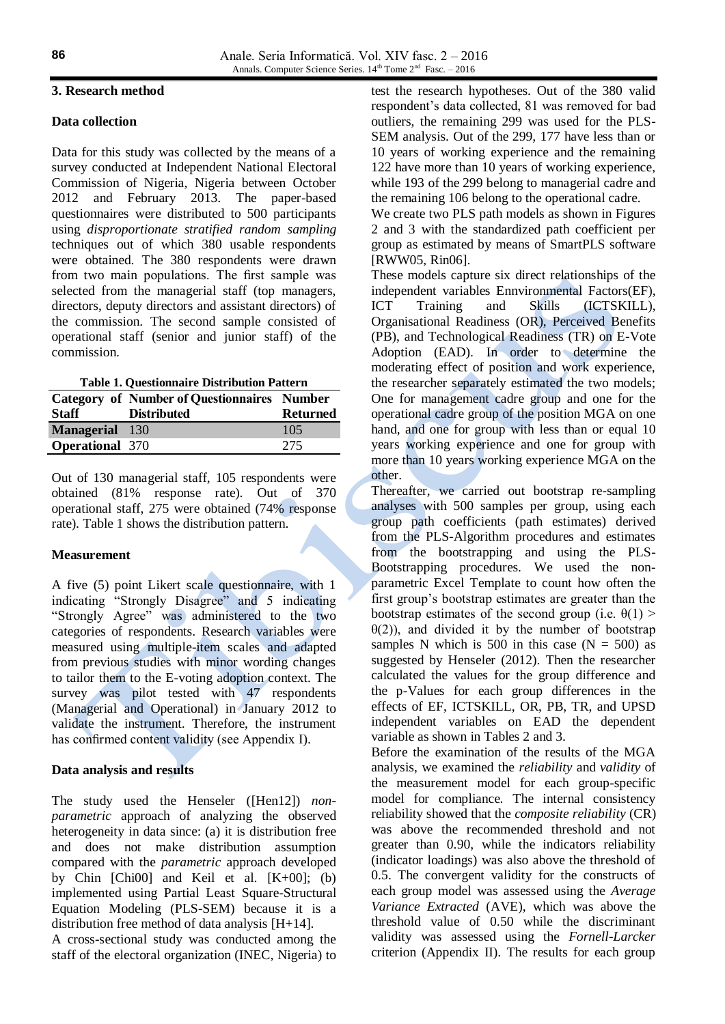#### **3. Research method**

### **Data collection**

Data for this study was collected by the means of a survey conducted at Independent National Electoral Commission of Nigeria, Nigeria between October 2012 and February 2013. The paper-based questionnaires were distributed to 500 participants using *disproportionate stratified random sampling* techniques out of which 380 usable respondents were obtained. The 380 respondents were drawn from two main populations. The first sample was selected from the managerial staff (top managers, directors, deputy directors and assistant directors) of the commission. The second sample consisted of operational staff (senior and junior staff) of the commission.

|                        | <b>Category of Number of Questionnaires Number</b> |                 |
|------------------------|----------------------------------------------------|-----------------|
| <b>Staff</b>           | <b>Distributed</b>                                 | <b>Returned</b> |
| Managerial 130         |                                                    | 105             |
| <b>Operational</b> 370 |                                                    | 275             |

Out of 130 managerial staff, 105 respondents were obtained (81% response rate). Out of 370 operational staff, 275 were obtained (74% response rate). Table 1 shows the distribution pattern.

### **Measurement**

A five (5) point Likert scale questionnaire, with 1 indicating "Strongly Disagree" and 5 indicating "Strongly Agree" was administered to the two categories of respondents. Research variables were measured using multiple-item scales and adapted from previous studies with minor wording changes to tailor them to the E-voting adoption context. The survey was pilot tested with 47 respondents (Managerial and Operational) in January 2012 to validate the instrument. Therefore, the instrument has confirmed content validity (see Appendix I).

### **Data analysis and results**

The study used the Henseler ([Hen12]) *nonparametric* approach of analyzing the observed heterogeneity in data since: (a) it is distribution free and does not make distribution assumption compared with the *parametric* approach developed by Chin [Chi00] and Keil et al. [K+00]; (b) implemented using Partial Least Square-Structural Equation Modeling (PLS-SEM) because it is a distribution free method of data analysis [H+14].

A cross-sectional study was conducted among the staff of the electoral organization (INEC, Nigeria) to test the research hypotheses. Out of the 380 valid respondent's data collected, 81 was removed for bad outliers, the remaining 299 was used for the PLS-SEM analysis. Out of the 299, 177 have less than or 10 years of working experience and the remaining 122 have more than 10 years of working experience, while 193 of the 299 belong to managerial cadre and the remaining 106 belong to the operational cadre.

We create two PLS path models as shown in Figures 2 and 3 with the standardized path coefficient per group as estimated by means of SmartPLS software [RWW05, Rin06].

These models capture six direct relationships of the independent variables Ennvironmental Factors(EF), ICT Training and Skills (ICTSKILL), Organisational Readiness (OR), Perceived Benefits (PB), and Technological Readiness (TR) on E-Vote Adoption (EAD). In order to determine the moderating effect of position and work experience, the researcher separately estimated the two models; One for management cadre group and one for the operational cadre group of the position MGA on one hand, and one for group with less than or equal 10 years working experience and one for group with more than 10 years working experience MGA on the other.

Thereafter, we carried out bootstrap re-sampling analyses with 500 samples per group, using each group path coefficients (path estimates) derived from the PLS-Algorithm procedures and estimates from the bootstrapping and using the PLS-Bootstrapping procedures. We used the nonparametric Excel Template to count how often the first group's bootstrap estimates are greater than the bootstrap estimates of the second group (i.e.  $\theta(1)$ )  $\theta(2)$ ), and divided it by the number of bootstrap samples N which is 500 in this case  $(N = 500)$  as suggested by Henseler (2012). Then the researcher calculated the values for the group difference and the p-Values for each group differences in the effects of EF, ICTSKILL, OR, PB, TR, and UPSD independent variables on EAD the dependent variable as shown in Tables 2 and 3.

Before the examination of the results of the MGA analysis, we examined the *reliability* and *validity* of the measurement model for each group-specific model for compliance. The internal consistency reliability showed that the *composite reliability* (CR) was above the recommended threshold and not greater than 0.90, while the indicators reliability (indicator loadings) was also above the threshold of 0.5. The convergent validity for the constructs of each group model was assessed using the *Average Variance Extracted* (AVE), which was above the threshold value of 0.50 while the discriminant validity was assessed using the *Fornell-Larcker* criterion (Appendix II). The results for each group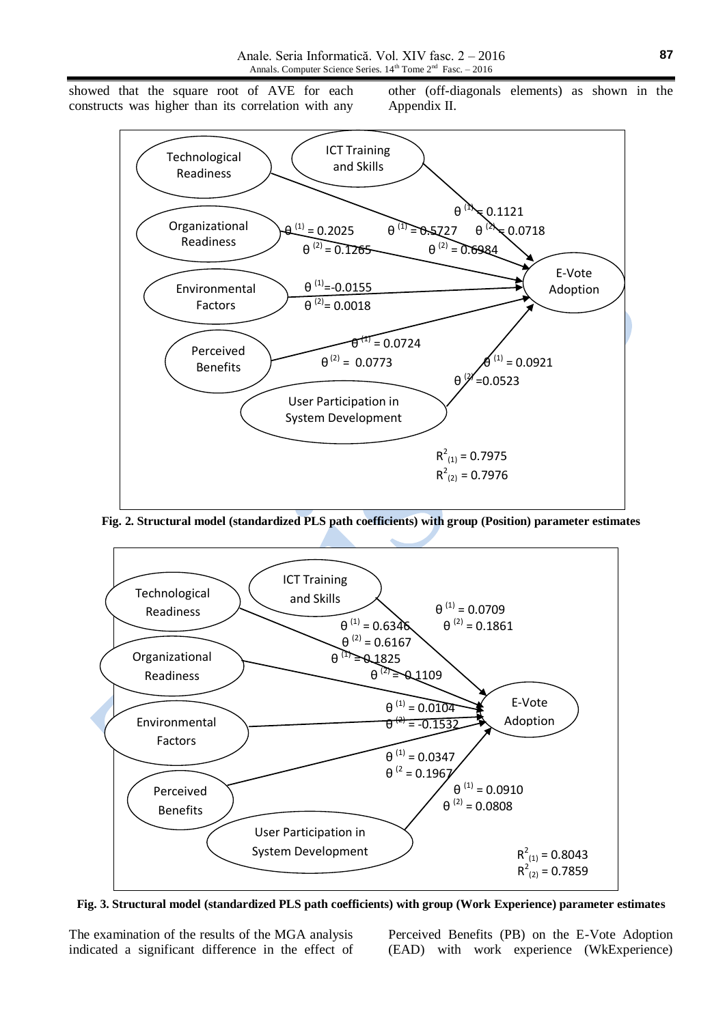showed that the square root of AVE for each constructs was higher than its correlation with any other (off-diagonals elements) as shown in the Appendix II.



**Fig. 2. Structural model (standardized PLS path coefficients) with group (Position) parameter estimates**



**Fig. 3. Structural model (standardized PLS path coefficients) with group (Work Experience) parameter estimates**

The examination of the results of the MGA analysis indicated a significant difference in the effect of

Perceived Benefits (PB) on the E-Vote Adoption (EAD) with work experience (WkExperience)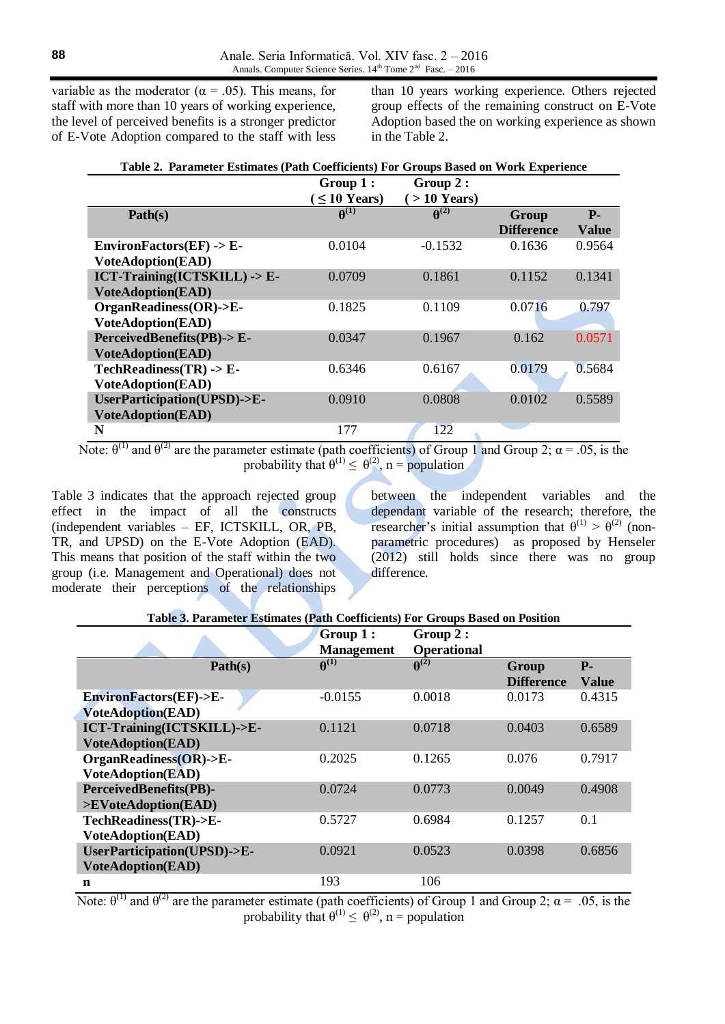variable as the moderator ( $\alpha$  = .05). This means, for staff with more than 10 years of working experience, the level of perceived benefits is a stronger predictor of E-Vote Adoption compared to the staff with less

than 10 years working experience. Others rejected group effects of the remaining construct on E-Vote Adoption based the on working experience as shown in the Table 2.

| Table 2. Parameter Estimates (Path Coefficients) For Groups Based on Work Experience |                             |                             |                   |              |
|--------------------------------------------------------------------------------------|-----------------------------|-----------------------------|-------------------|--------------|
|                                                                                      | Group 1:                    | Group 2:                    |                   |              |
|                                                                                      | $\leq 10$ Years)            | $($ > 10 Years)             |                   |              |
| Path(s)                                                                              | $\boldsymbol{\theta}^{(1)}$ | $\boldsymbol{\theta}^{(2)}$ | Group             | $P-$         |
|                                                                                      |                             |                             | <b>Difference</b> | <b>Value</b> |
| EnvironFactors $(EF)$ -> E-                                                          | 0.0104                      | $-0.1532$                   | 0.1636            | 0.9564       |
| <b>VoteAdoption(EAD)</b>                                                             |                             |                             |                   |              |
| ICT-Training(ICTSKILL) -> E-                                                         | 0.0709                      | 0.1861                      | 0.1152            | 0.1341       |
| <b>VoteAdoption(EAD)</b>                                                             |                             |                             |                   |              |
| $OrganReadiness(OR)-\geq E$ -                                                        | 0.1825                      | 0.1109                      | 0.0716            | 0.797        |
| <b>VoteAdoption(EAD)</b>                                                             |                             |                             |                   |              |
| PerceivedBenefits(PB)-> E-                                                           | 0.0347                      | 0.1967                      | 0.162             | 0.0571       |
| <b>VoteAdoption(EAD)</b>                                                             |                             |                             |                   |              |
| $TechnReadiness(TR) -> E-$                                                           | 0.6346                      | 0.6167                      | 0.0179            | 0.5684       |
| <b>VoteAdoption(EAD)</b>                                                             |                             |                             |                   |              |
| UserParticipation(UPSD)->E-                                                          | 0.0910                      | 0.0808                      | 0.0102            | 0.5589       |
| <b>VoteAdoption(EAD)</b>                                                             |                             |                             |                   |              |
| N                                                                                    | 177                         | 122                         |                   |              |

Note:  $\theta^{(1)}$  and  $\theta^{(2)}$  are the parameter estimate (path coefficients) of Group 1 and Group 2;  $\alpha = .05$ , is the probability that  $\theta^{(1)} \leq \theta^{(2)}$ , n = population

Table 3 indicates that the approach rejected group effect in the impact of all the constructs (independent variables – EF, ICTSKILL, OR, PB, TR, and UPSD) on the E-Vote Adoption (EAD). This means that position of the staff within the two group (i.e. Management and Operational) does not moderate their perceptions of the relationships

between the independent variables and the dependant variable of the research; therefore, the researcher's initial assumption that  $\theta^{(1)} > \theta^{(2)}$  (nonparametric procedures) as proposed by Henseler (2012) still holds since there was no group difference.

|  | Table 3. Parameter Estimates (Path Coefficients) For Groups Based on Position |  |
|--|-------------------------------------------------------------------------------|--|
|  |                                                                               |  |

|                                                         | Group 1:<br><b>Management</b> | Group 2:<br><b>Operational</b> |                            |                      |
|---------------------------------------------------------|-------------------------------|--------------------------------|----------------------------|----------------------|
| Path(s)                                                 | $\boldsymbol{\theta}^{(1)}$   | $\boldsymbol{\theta}^{(2)}$    | Group<br><b>Difference</b> | $P-$<br><b>Value</b> |
| EnvironFactors(EF)->E-<br><b>VoteAdoption(EAD)</b>      | $-0.0155$                     | 0.0018                         | 0.0173                     | 0.4315               |
| ICT-Training(ICTSKILL)->E-<br><b>VoteAdoption(EAD)</b>  | 0.1121                        | 0.0718                         | 0.0403                     | 0.6589               |
| OrganReadiness(OR)->E-<br><b>VoteAdoption(EAD)</b>      | 0.2025                        | 0.1265                         | 0.076                      | 0.7917               |
| PerceivedBenefits(PB)-<br>>EVoteAdoption(EAD)           | 0.0724                        | 0.0773                         | 0.0049                     | 0.4908               |
| TechReadiness(TR)->E-<br><b>VoteAdoption(EAD)</b>       | 0.5727                        | 0.6984                         | 0.1257                     | 0.1                  |
| UserParticipation(UPSD)->E-<br><b>VoteAdoption(EAD)</b> | 0.0921                        | 0.0523                         | 0.0398                     | 0.6856               |
| n                                                       | 193                           | 106                            |                            |                      |

Note:  $\theta^{(1)}$  and  $\theta^{(2)}$  are the parameter estimate (path coefficients) of Group 1 and Group 2;  $\alpha = .05$ , is the probability that  $\theta^{(1)} \leq \theta^{(2)}$ , n = population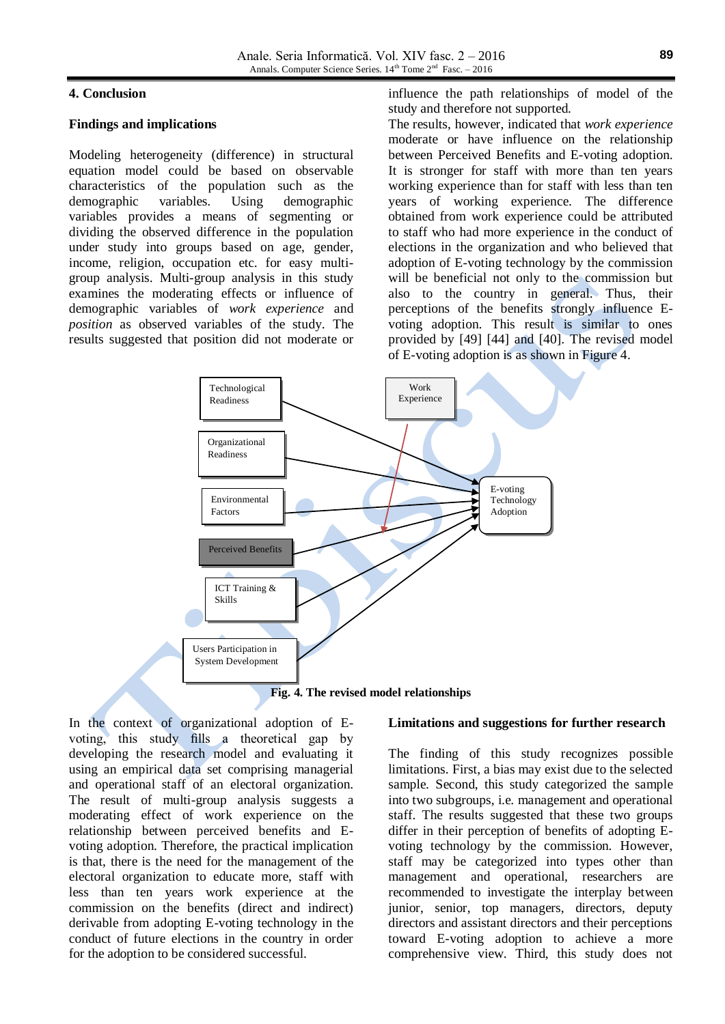#### **4. Conclusion**

#### **Findings and implications**

Modeling heterogeneity (difference) in structural equation model could be based on observable characteristics of the population such as the demographic variables. Using demographic variables provides a means of segmenting or dividing the observed difference in the population under study into groups based on age, gender, income, religion, occupation etc. for easy multigroup analysis. Multi-group analysis in this study examines the moderating effects or influence of demographic variables of *work experience* and *position* as observed variables of the study. The results suggested that position did not moderate or influence the path relationships of model of the study and therefore not supported.

The results, however, indicated that *work experience* moderate or have influence on the relationship between Perceived Benefits and E-voting adoption. It is stronger for staff with more than ten years working experience than for staff with less than ten years of working experience. The difference obtained from work experience could be attributed to staff who had more experience in the conduct of elections in the organization and who believed that adoption of E-voting technology by the commission will be beneficial not only to the commission but also to the country in general. Thus, their perceptions of the benefits strongly influence Evoting adoption. This result is similar to ones provided by [49] [44] and [40]. The revised model of E-voting adoption is as shown in Figure 4.



**Fig. 4. The revised model relationships**

In the context of organizational adoption of Evoting, this study fills a theoretical gap by developing the research model and evaluating it using an empirical data set comprising managerial and operational staff of an electoral organization. The result of multi-group analysis suggests a moderating effect of work experience on the relationship between perceived benefits and Evoting adoption. Therefore, the practical implication is that, there is the need for the management of the electoral organization to educate more, staff with less than ten years work experience at the commission on the benefits (direct and indirect) derivable from adopting E-voting technology in the conduct of future elections in the country in order for the adoption to be considered successful.

#### **Limitations and suggestions for further research**

The finding of this study recognizes possible limitations. First, a bias may exist due to the selected sample. Second, this study categorized the sample into two subgroups, i.e. management and operational staff. The results suggested that these two groups differ in their perception of benefits of adopting Evoting technology by the commission. However, staff may be categorized into types other than management and operational, researchers are recommended to investigate the interplay between junior, senior, top managers, directors, deputy directors and assistant directors and their perceptions toward E-voting adoption to achieve a more comprehensive view. Third, this study does not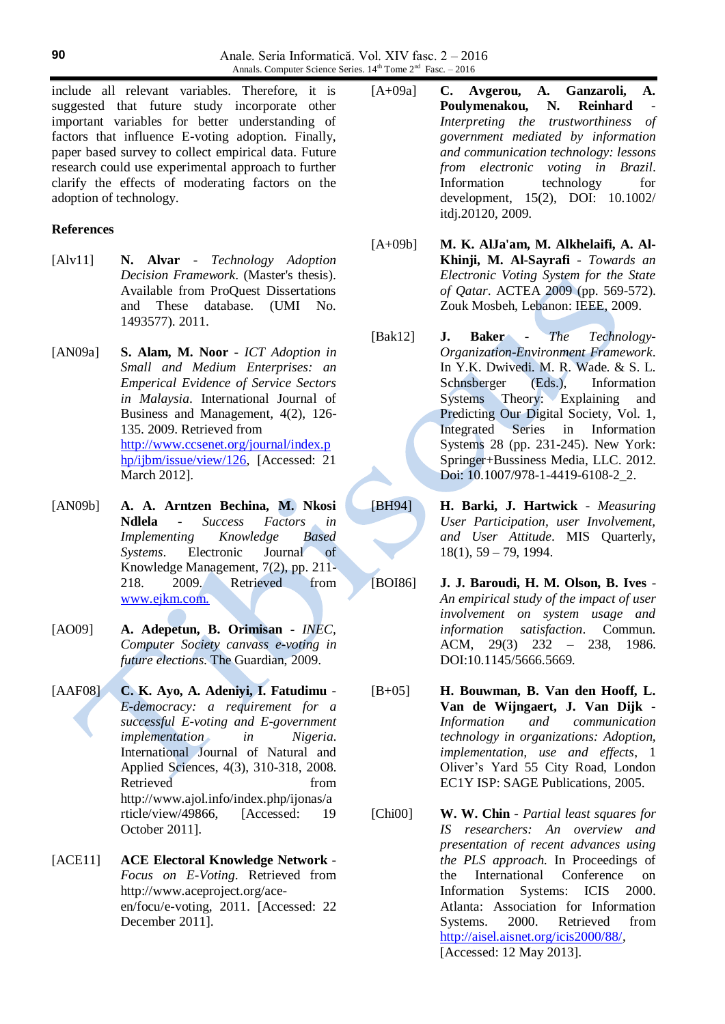include all relevant variables. Therefore, it is suggested that future study incorporate other important variables for better understanding of factors that influence E-voting adoption. Finally, paper based survey to collect empirical data. Future research could use experimental approach to further clarify the effects of moderating factors on the adoption of technology.

#### **References**

- [Alv11] **N. Alvar** *Technology Adoption Decision Framework*. (Master's thesis). Available from ProQuest Dissertations and These database. (UMI No. 1493577). 2011.
- [AN09a] **S. Alam, M. Noor** *ICT Adoption in Small and Medium Enterprises: an Emperical Evidence of Service Sectors in Malaysia*. International Journal of Business and Management, 4(2), 126- 135. 2009. Retrieved from [http://www.ccsenet.org/journal/index.p](http://www.ccsenet.org/journal/index.php/ijbm/issue/view/126) [hp/ijbm/issue/view/126,](http://www.ccsenet.org/journal/index.php/ijbm/issue/view/126) [Accessed: 21 March 2012].
- [AN09b] **A. A. Arntzen Bechina, M. Nkosi Ndlela** - *Success Factors in Implementing Knowledge Based Systems*. Electronic Journal of Knowledge Management, 7(2), pp. 211- 218. 2009. Retrieved from [www.ejkm.com.](http://www.ejkm.com/)
- [AO09] **A. Adepetun, B. Orimisan** *INEC, Computer Society canvass e-voting in future elections*. The Guardian, 2009.
- [AAF08] **C. K. Ayo, A. Adeniyi, I. Fatudimu** *E-democracy: a requirement for a successful E-voting and E-government implementation in Nigeria*. International Journal of Natural and Applied Sciences, 4(3), 310-318, 2008. Retrieved from http://www.ajol.info/index.php/ijonas/a rticle/view/49866, [Accessed: 19 October 2011].
- [ACE11] **ACE Electoral Knowledge Network** *Focus on E-Voting*. Retrieved from http://www.aceproject.org/aceen/focu/e-voting, 2011. [Accessed: 22 December 2011].
- [A+09a] **C. Avgerou, A. Ganzaroli, A.**  Poulymenakou, N. Reinhard *Interpreting the trustworthiness of government mediated by information and communication technology: lessons from electronic voting in Brazil*. Information technology for development, 15(2), DOI: 10.1002/ itdj.20120, 2009.
- [A+09b] **M. K. AlJa'am, M. Alkhelaifi, A. Al-Khinji, M. Al-Sayrafi** - *Towards an Electronic Voting System for the State of Qatar*. ACTEA 2009 (pp. 569-572). Zouk Mosbeh, Lebanon: IEEE, 2009.
- [Bak12] **J. Baker** *The Technology-Organization-Environment Framework*. In Y.K. Dwivedi. M. R. Wade. & S. L. Schnsberger (Eds.), Information Systems Theory: Explaining and Predicting Our Digital Society, Vol. 1, Integrated Series in Information Systems 28 (pp. 231-245). New York: Springer+Bussiness Media, LLC. 2012. Doi: 10.1007/978-1-4419-6108-2\_2.
- [BH94] **H. Barki, J. Hartwick** *Measuring User Participation, user Involvement, and User Attitude*. MIS Quarterly, 18(1), 59 – 79, 1994.
- [BOI86] **J. J. Baroudi, H. M. Olson, B. Ives** *An empirical study of the impact of user involvement on system usage and information satisfaction*. Commun. ACM, 29(3) 232 – 238, 1986. DOI:10.1145/5666.5669.
- [B+05] **H. Bouwman, B. Van den Hooff, L. Van de Wijngaert, J. Van Dijk** - *Information and communication technology in organizations: Adoption, implementation, use and effects*, 1 Oliver's Yard 55 City Road, London EC1Y ISP: SAGE Publications, 2005.
- [Chi00] **W. W. Chin** *Partial least squares for IS researchers: An overview and presentation of recent advances using the PLS approach.* In Proceedings of the International Conference on Information Systems: ICIS 2000. Atlanta: Association for Information Systems. 2000. Retrieved from [http://aisel.aisnet.org/icis2000/88/,](http://aisel.aisnet.org/icis2000/88/) [Accessed: 12 May 2013].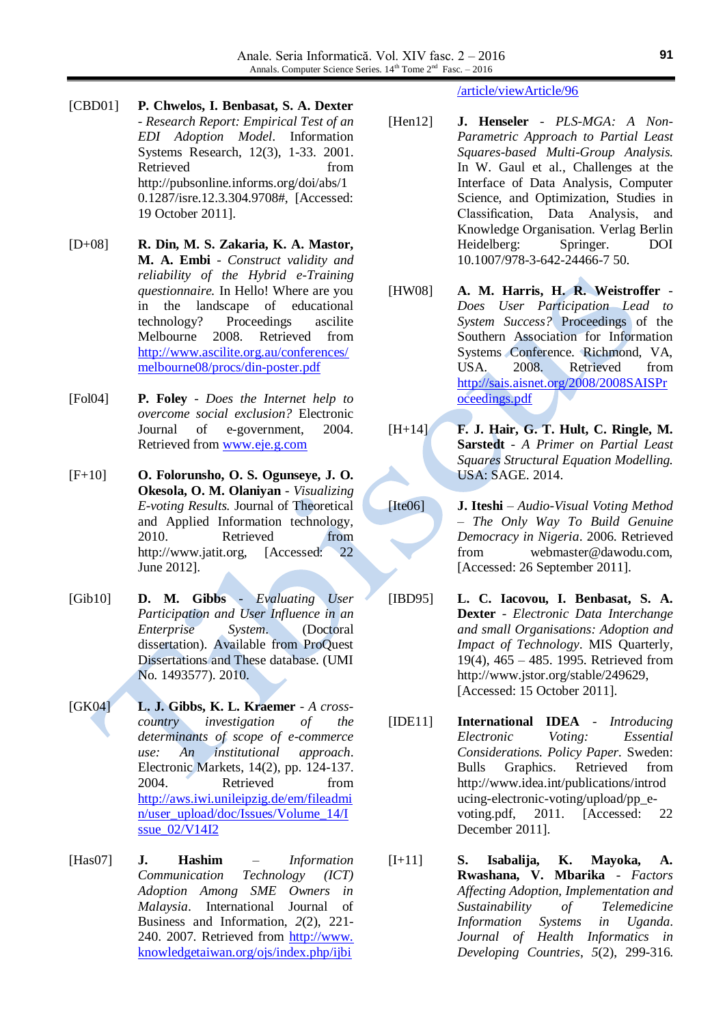- [CBD01] **P. Chwelos, I. Benbasat, S. A. Dexter** - *Research Report: Empirical Test of an EDI Adoption Model*. Information Systems Research, 12(3), 1-33. 2001. Retrieved from http://pubsonline.informs.org/doi/abs/1 0.1287/isre.12.3.304.9708#, [Accessed: 19 October 2011].
- [D+08] **R. Din, M. S. Zakaria, K. A. Mastor, M. A. Embi** - *Construct validity and reliability of the Hybrid e-Training questionnaire.* In Hello! Where are you in the landscape of educational technology? Proceedings ascilite Melbourne 2008. Retrieved from [http://www.ascilite.org.au/conferences/](http://www.ascilite.org.au/conferences/melbourne08/procs/din-poster.pdf) [melbourne08/procs/din-poster.pdf](http://www.ascilite.org.au/conferences/melbourne08/procs/din-poster.pdf)
- [Fol04] **P. Foley** *Does the Internet help to overcome social exclusion?* Electronic Journal of e-government, 2004. Retrieved from [www.eje.g.com](http://www.ejeg.com/)
- [F+10] **O. Folorunsho, O. S. Ogunseye, J. O. Okesola, O. M. Olaniyan** - *Visualizing E-voting Results.* Journal of Theoretical and Applied Information technology, 2010. Retrieved from http://www.jatit.org, [Accessed: 22] June 2012].
- [Gib10] **D. M. Gibbs** *Evaluating User Participation and User Influence in an Enterprise System*. (Doctoral dissertation). Available from ProQuest Dissertations and These database. (UMI No. 1493577). 2010.
- [GK04] **L. J. Gibbs, K. L. Kraemer** *A crosscountry investigation of the determinants of scope of e-commerce use: An institutional approach*. Electronic Markets, 14(2), pp. 124-137. 2004. Retrieved from [http://aws.iwi.unileipzig.de/em/fileadmi](http://aws.iwi.unileipzig.de/em/fileadmin/user_upload/doc/Issues/Volume_14/Issue_02/V14I2) [n/user\\_upload/doc/Issues/Volume\\_14/I](http://aws.iwi.unileipzig.de/em/fileadmin/user_upload/doc/Issues/Volume_14/Issue_02/V14I2) ssue  $02/V14I2$
- [Has07] **J. Hashim** *Information Communication Technology (ICT) Adoption Among SME Owners in Malaysia*. International Journal of Business and Information, *2*(2), 221- 240. 2007. Retrieved from http://www. knowledgetaiwan.org/ojs/index.php/ijbi

### /article/viewArticle/96

- [Hen12] **J. Henseler** *PLS-MGA: A Non-Parametric Approach to Partial Least Squares-based Multi-Group Analysis.* In W. Gaul et al., Challenges at the Interface of Data Analysis, Computer Science, and Optimization, Studies in Classification, Data Analysis, and Knowledge Organisation. Verlag Berlin Heidelberg: Springer. DOI 10.1007/978-3-642-24466-7 50.
- [HW08] **A. M. Harris, H. R. Weistroffer** *Does User Participation Lead to System Success?* Proceedings of the Southern Association for Information Systems Conference. Richmond, VA, USA. 2008. Retrieved from [http://sais.aisnet.org/2008/2008SAISPr](http://sais.aisnet.org/2008/2008SAISProceedings.pdf) [oceedings.pdf](http://sais.aisnet.org/2008/2008SAISProceedings.pdf)
- [H+14] **F. J. Hair, G. T. Hult, C. Ringle, M. Sarstedt** - *A Primer on Partial Least Squares Structural Equation Modelling.* USA: SAGE. 2014.
- [Ite06] **J. Iteshi** *Audio-Visual Voting Method – The Only Way To Build Genuine Democracy in Nigeria*. 2006. Retrieved from webmaster@dawodu.com, [Accessed: 26 September 2011].
- [IBD95] **L. C. Iacovou, I. Benbasat, S. A. Dexter** - *Electronic Data Interchange and small Organisations: Adoption and Impact of Technology*. MIS Quarterly, 19(4), 465 – 485. 1995. Retrieved from http://www.jstor.org/stable/249629, [Accessed: 15 October 2011].
- [IDE11] **International IDEA** *Introducing Electronic Voting: Essential Considerations. Policy Paper.* Sweden: Bulls Graphics. Retrieved from http://www.idea.int/publications/introd ucing-electronic-voting/upload/pp\_evoting.pdf, 2011. [Accessed: 22 December 2011].
- [I+11] **S. Isabalija, K. Mayoka, A. Rwashana, V. Mbarika** - *Factors Affecting Adoption, Implementation and Sustainability of Telemedicine Information Systems in Uganda*. *Journal of Health Informatics in Developing Countries*, *5*(2), 299-316.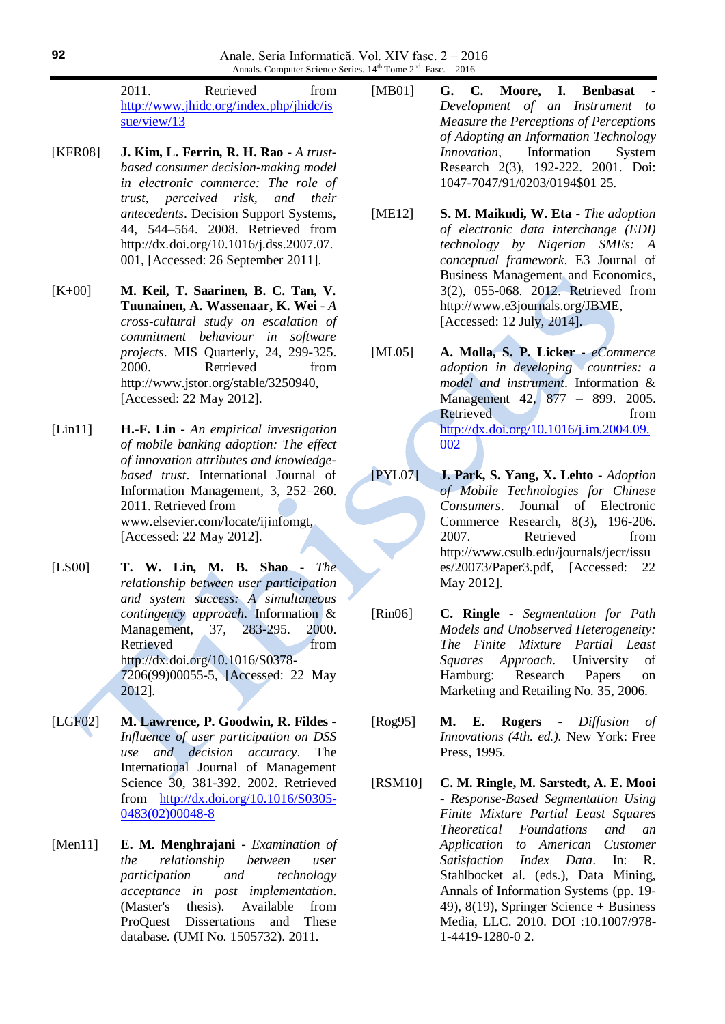2011. Retrieved from [http://www.jhidc.org/index.php/jhidc/is](http://www.jhidc.org/index.php/jhidc/issue/view/13) [sue/view/13](http://www.jhidc.org/index.php/jhidc/issue/view/13)

- [KFR08] **J. Kim, L. Ferrin, R. H. Rao** *A trustbased consumer decision-making model in electronic commerce: The role of trust, perceived risk, and their antecedents*. Decision Support Systems, 44, 544–564. 2008. Retrieved from http://dx.doi.org/10.1016/j.dss.2007.07. 001, [Accessed: 26 September 2011].
- [K+00] **M. Keil, T. Saarinen, B. C. Tan, V. Tuunainen, A. Wassenaar, K. Wei** - *A cross-cultural study on escalation of commitment behaviour in software projects*. MIS Quarterly, 24, 299-325. 2000. Retrieved from http://www.jstor.org/stable/3250940, [Accessed: 22 May 2012].
- [Lin11] **H.-F. Lin** *An empirical investigation of mobile banking adoption: The effect of innovation attributes and knowledgebased trust*. International Journal of Information Management, 3, 252–260. 2011. Retrieved from www.elsevier.com/locate/ijinfomgt, [Accessed: 22 May 2012].
- [LS00] **T. W. Lin, M. B. Shao** *The relationship between user participation and system success: A simultaneous contingency approach*. Information & Management, 37, 283-295. 2000. Retrieved from http://dx.doi.org/10.1016/S0378- 7206(99)00055-5, [Accessed: 22 May 2012].
- [LGF02] **M. Lawrence, P. Goodwin, R. Fildes** *Influence of user participation on DSS use and decision accuracy*. The International Journal of Management Science 30, 381-392. 2002. Retrieved from [http://dx.doi.org/10.1016/S0305-](http://dx.doi.org/10.1016/S0305-0483(02)00048-8) [0483\(02\)00048-8](http://dx.doi.org/10.1016/S0305-0483(02)00048-8)
- [Men11] **E. M. Menghrajani** *Examination of the relationship between user participation and technology acceptance in post implementation*. (Master's thesis). Available from ProQuest Dissertations and These database. (UMI No. 1505732). 2011.
- [MB01] **G. C. Moore, I. Benbasat** *Development of an Instrument to Measure the Perceptions of Perceptions of Adopting an Information Technology Innovation*, Information System Research 2(3), 192-222. 2001. Doi: 1047-7047/91/0203/0194\$01 25.
- [ME12] **S. M. Maikudi, W. Eta** *The adoption of electronic data interchange (EDI) technology by Nigerian SMEs: A conceptual framework*. E3 Journal of Business Management and Economics, 3(2), 055-068. 2012. Retrieved from http://www.e3journals.org/JBME, [Accessed: 12 July, 2014].
- [ML05] **A. Molla, S. P. Licker** *eCommerce adoption in developing countries: a model and instrument*. Information & Management 42, 877 – 899. 2005. Retrieved from [http://dx.doi.org/10.1016/j.im.2004.09.](http://dx.doi.org/10.1016/j.im.2004.09.002) [002](http://dx.doi.org/10.1016/j.im.2004.09.002)
- [PYL07] **J. Park, S. Yang, X. Lehto** *Adoption of Mobile Technologies for Chinese Consumers*. Journal of Electronic Commerce Research, 8(3), 196-206. 2007. Retrieved from http://www.csulb.edu/journals/jecr/issu es/20073/Paper3.pdf, [Accessed: 22 May 2012].
- [Rin06] **C. Ringle** *Segmentation for Path Models and Unobserved Heterogeneity: The Finite Mixture Partial Least Squares Approach*. University of Hamburg: Research Papers on Marketing and Retailing No. 35, 2006.
- [Rog95] **M. E. Rogers** *Diffusion of Innovations (4th. ed.).* New York: Free Press, 1995.
- [RSM10] **C. M. Ringle, M. Sarstedt, A. E. Mooi** - *Response-Based Segmentation Using Finite Mixture Partial Least Squares Theoretical Foundations and an Application to American Customer Satisfaction Index Data*. In: R. Stahlbocket al. (eds.), Data Mining, Annals of Information Systems (pp. 19- 49), 8(19), Springer Science + Business Media, LLC. 2010. DOI :10.1007/978- 1-4419-1280-0 2.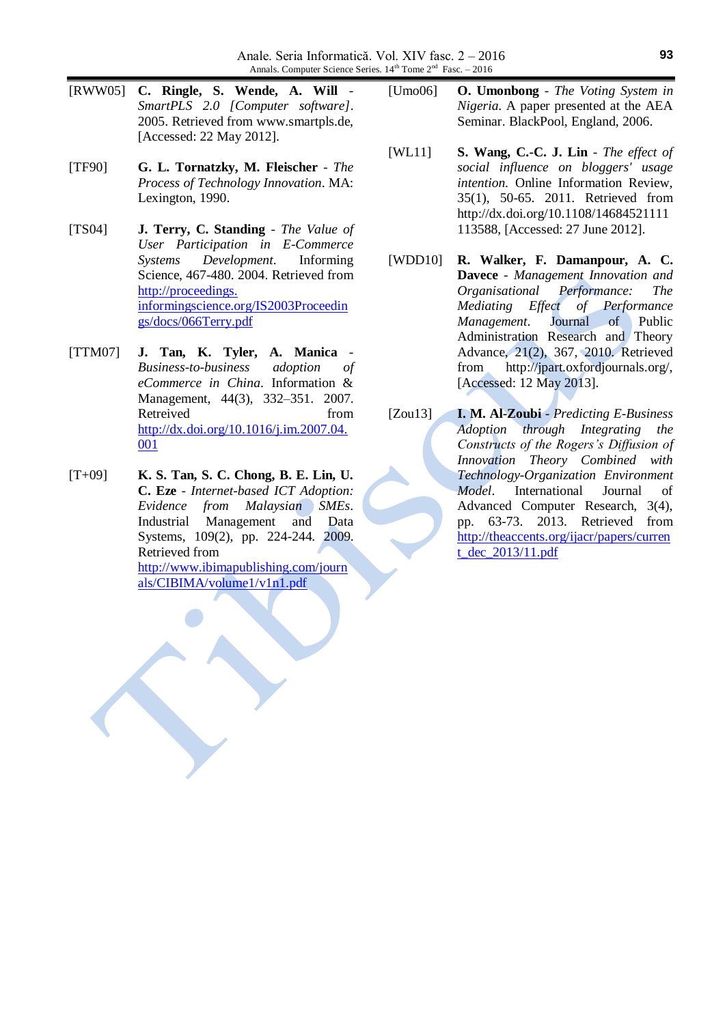- [RWW05] **C. Ringle, S. Wende, A. Will** *SmartPLS 2.0 [Computer software]*. 2005. Retrieved from www.smartpls.de, [Accessed: 22 May 2012].
- [TF90] **G. L. Tornatzky, M. Fleischer** *The Process of Technology Innovation*. MA: Lexington, 1990.
- [TS04] **J. Terry, C. Standing** *The Value of User Participation in E-Commerce Systems Development*. Informing Science, 467-480. 2004. Retrieved from http://proceedings. informingscience.org/IS2003Proceedin gs/docs/066Terry.pdf
- [TTM07] **J. Tan, K. Tyler, A. Manica** *Business-to-business adoption of eCommerce in China*. Information & Management, 44(3), 332–351. 2007. Retreived from [http://dx.doi.org/10.1016/j.im.2007.04.](http://dx.doi.org/10.1016/j.im.2007.04.001) [001](http://dx.doi.org/10.1016/j.im.2007.04.001)
- [T+09] **K. S. Tan, S. C. Chong, B. E. Lin, U. C. Eze** - *Internet-based ICT Adoption: Evidence from Malaysian SMEs*. Industrial Management and Data Systems, 109(2), pp. 224-244. 2009. Retrieved from [http://www.ibimapublishing.com/journ](http://www.ibimapublishing.com/journals/CIBIMA/volume1/v1n1.pdf) [als/CIBIMA/volume1/v1n1.pdf](http://www.ibimapublishing.com/journals/CIBIMA/volume1/v1n1.pdf)
- [Umo06] **O. Umonbong** *The Voting System in Nigeria*. A paper presented at the AEA Seminar. BlackPool, England, 2006.
- [WL11] **S. Wang, C.-C. J. Lin** *The effect of social influence on bloggers' usage intention*. Online Information Review, 35(1), 50-65. 2011. Retrieved from http://dx.doi.org/10.1108/14684521111 113588, [Accessed: 27 June 2012].
- [WDD10] **R. Walker, F. Damanpour, A. C. Davece** - *Management Innovation and Organisational Performance: The Mediating Effect of Performance Management*. Journal of Public Administration Research and Theory Advance, 21(2), 367, 2010. Retrieved from http://jpart.oxfordjournals.org/, [Accessed: 12 May 2013].
- [Zou13] **I. M. Al-Zoubi** *Predicting E-Business Adoption through Integrating the Constructs of the Rogers's Diffusion of Innovation Theory Combined with Technology-Organization Environment Model*. International Journal of Advanced Computer Research, 3(4), pp. 63-73. 2013. Retrieved from [http://theaccents.org/ijacr/papers/curren](http://theaccents.org/ijacr/papers/current_dec_2013/11.pdf) [t\\_dec\\_2013/11.pdf](http://theaccents.org/ijacr/papers/current_dec_2013/11.pdf)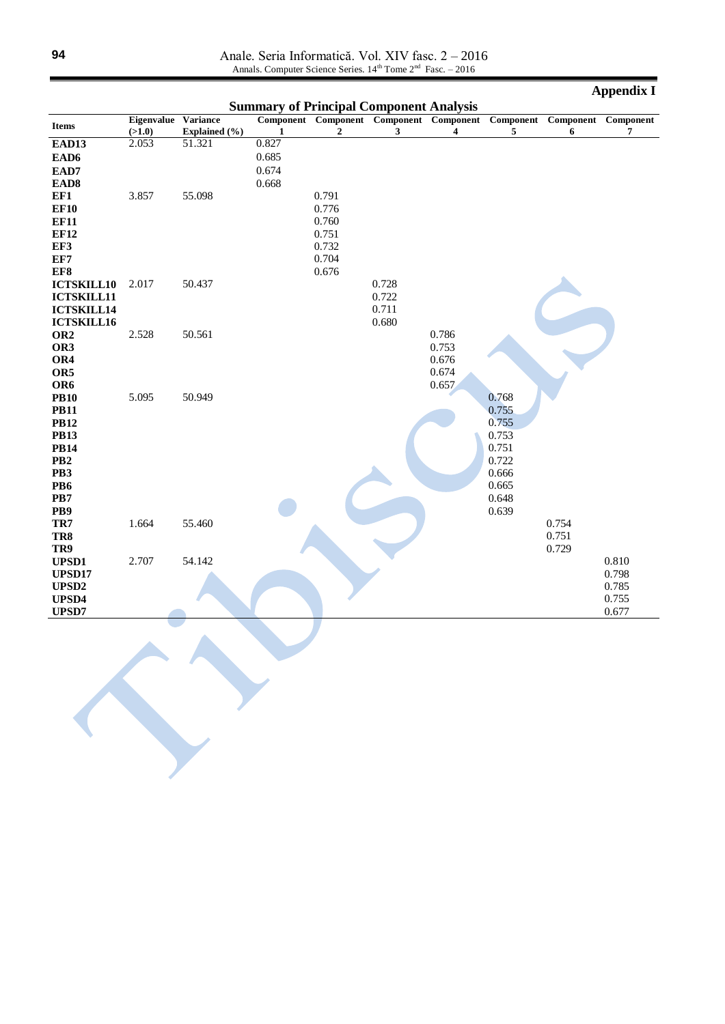Anale. Seria Informatică. Vol. XIV fasc. 2 – 2016 Annals. Computer Science Series. 14<sup>th</sup> Tome 2<sup>nd</sup> Fasc. - 2016

|                        |                               |               |              |                                                |       |                                              |                |       | <b>Appendix I</b>        |
|------------------------|-------------------------------|---------------|--------------|------------------------------------------------|-------|----------------------------------------------|----------------|-------|--------------------------|
|                        |                               |               |              | <b>Summary of Principal Component Analysis</b> |       |                                              |                |       |                          |
| Items                  | Eigenvalue Variance<br>(>1.0) | Explained (%) | $\mathbf{1}$ | $\overline{2}$                                 | 3     | Component Component Component Component<br>4 | Component<br>5 | 6     | Component Component<br>7 |
| EAD13                  | 2.053                         | 51.321        | 0.827        |                                                |       |                                              |                |       |                          |
| EAD6                   |                               |               | 0.685        |                                                |       |                                              |                |       |                          |
| EAD7                   |                               |               | 0.674        |                                                |       |                                              |                |       |                          |
| EAD <sub>8</sub>       |                               |               | 0.668        |                                                |       |                                              |                |       |                          |
| EF1                    | 3.857                         | 55.098        |              | 0.791                                          |       |                                              |                |       |                          |
| <b>EF10</b>            |                               |               |              | 0.776                                          |       |                                              |                |       |                          |
| <b>EF11</b>            |                               |               |              | 0.760                                          |       |                                              |                |       |                          |
| <b>EF12</b>            |                               |               |              | 0.751                                          |       |                                              |                |       |                          |
| EF3                    |                               |               |              | 0.732                                          |       |                                              |                |       |                          |
| EF7                    |                               |               |              | 0.704                                          |       |                                              |                |       |                          |
| EF8                    |                               |               |              | 0.676                                          |       |                                              |                |       |                          |
| <b>ICTSKILL10</b>      | 2.017                         | 50.437        |              |                                                | 0.728 |                                              |                |       |                          |
| <b>ICTSKILL11</b>      |                               |               |              |                                                | 0.722 |                                              |                |       |                          |
| <b>ICTSKILL14</b>      |                               |               |              |                                                | 0.711 |                                              |                |       |                          |
| <b>ICTSKILL16</b>      |                               |               |              |                                                | 0.680 |                                              |                |       |                          |
| OR <sub>2</sub>        | 2.528                         | 50.561        |              |                                                |       | 0.786                                        |                |       |                          |
| OR3                    |                               |               |              |                                                |       | 0.753                                        |                |       |                          |
| OR4                    |                               |               |              |                                                |       | 0.676                                        |                |       |                          |
| OR5                    |                               |               |              |                                                |       | 0.674                                        |                |       |                          |
| OR <sub>6</sub>        |                               |               |              |                                                |       | 0.657                                        |                |       |                          |
| <b>PB10</b>            | 5.095                         | 50.949        |              |                                                |       |                                              | 0.768          |       |                          |
| <b>PB11</b>            |                               |               |              |                                                |       |                                              | 0.755          |       |                          |
| <b>PB12</b>            |                               |               |              |                                                |       |                                              | 0.755          |       |                          |
| <b>PB13</b>            |                               |               |              |                                                |       |                                              | 0.753          |       |                          |
| <b>PB14</b>            |                               |               |              |                                                |       |                                              | 0.751          |       |                          |
| PB <sub>2</sub><br>PB3 |                               |               |              |                                                |       |                                              | 0.722<br>0.666 |       |                          |
| PB6                    |                               |               |              |                                                |       |                                              | 0.665          |       |                          |
| PB7                    |                               |               |              |                                                |       |                                              | 0.648          |       |                          |
| PB9                    |                               |               |              |                                                |       |                                              | 0.639          |       |                          |
| TR7                    | 1.664                         | 55.460        |              |                                                |       |                                              |                | 0.754 |                          |
| TR8                    |                               |               |              |                                                |       |                                              |                | 0.751 |                          |
| TR9                    |                               |               |              |                                                |       |                                              |                | 0.729 |                          |
| <b>UPSD1</b>           | 2.707                         | 54.142        |              |                                                |       |                                              |                |       | 0.810                    |
| UPSD17                 |                               |               |              |                                                |       |                                              |                |       | 0.798                    |
| UPSD <sub>2</sub>      |                               |               |              |                                                |       |                                              |                |       | 0.785                    |
| UPSD4                  |                               |               |              |                                                |       |                                              |                |       | 0.755                    |
| UPSD7                  |                               |               |              |                                                |       |                                              |                |       | 0.677                    |
|                        |                               |               |              |                                                |       |                                              |                |       |                          |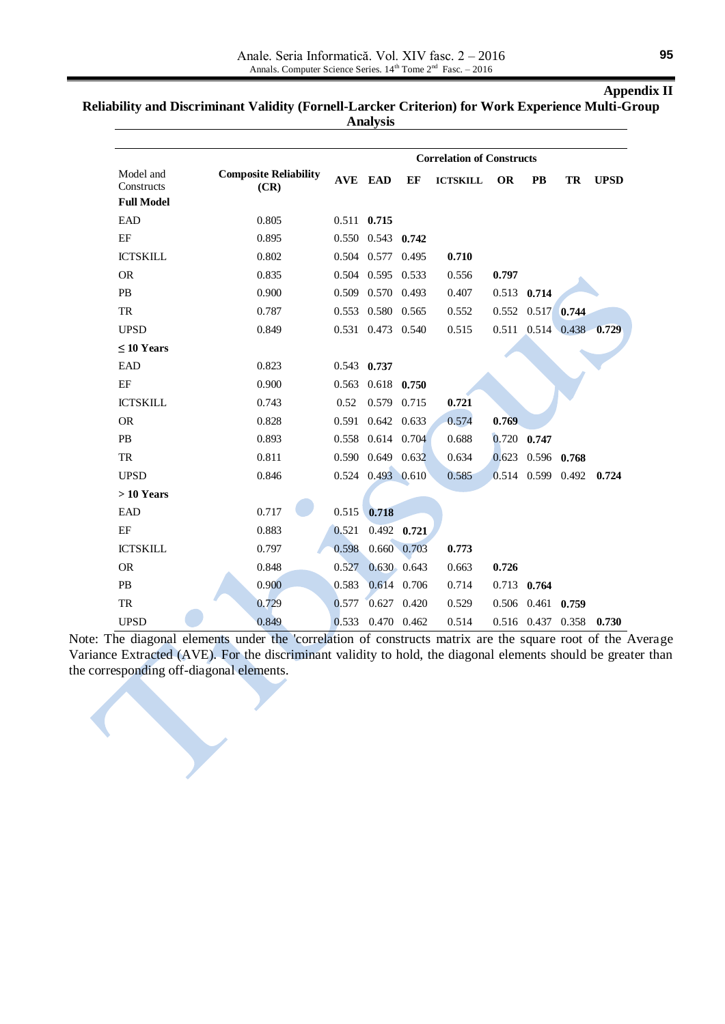## **Appendix II**

**Reliability and Discriminant Validity (Fornell-Larcker Criterion) for Work Experience Multi-Group** 

**Analysis**

|                                              | <b>Correlation of Constructs</b>     |       |                   |                 |                 |           |                         |                                 |             |
|----------------------------------------------|--------------------------------------|-------|-------------------|-----------------|-----------------|-----------|-------------------------|---------------------------------|-------------|
| Model and<br>Constructs<br><b>Full Model</b> | <b>Composite Reliability</b><br>(CR) |       | <b>AVE EAD</b>    | EF              | <b>ICTSKILL</b> | <b>OR</b> | <b>PB</b>               | TR                              | <b>UPSD</b> |
| EAD                                          | 0.805                                |       | $0.511$ $0.715$   |                 |                 |           |                         |                                 |             |
| EF                                           | 0.895                                |       | 0.550 0.543 0.742 |                 |                 |           |                         |                                 |             |
| <b>ICTSKILL</b>                              | 0.802                                |       | 0.504 0.577 0.495 |                 | 0.710           |           |                         |                                 |             |
| <b>OR</b>                                    | 0.835                                |       | 0.504 0.595 0.533 |                 | 0.556           | 0.797     |                         |                                 |             |
| PB                                           | 0.900                                |       | 0.509 0.570 0.493 |                 | 0.407           |           | $0.513$ 0.714           |                                 |             |
| <b>TR</b>                                    | 0.787                                |       | 0.553 0.580 0.565 |                 | 0.552           |           | $0.552$ $0.517$ 0.744   |                                 |             |
| <b>UPSD</b>                                  | 0.849                                |       | 0.531 0.473 0.540 |                 | 0.515           |           |                         | $0.511$ $0.514$ $0.438$ $0.729$ |             |
| $\leq 10$ Years                              |                                      |       |                   |                 |                 |           |                         |                                 |             |
| EAD                                          | 0.823                                |       | 0.543 0.737       |                 |                 |           |                         |                                 |             |
| EF                                           | 0.900                                |       | 0.563 0.618       | 0.750           |                 |           |                         |                                 |             |
| <b>ICTSKILL</b>                              | 0.743                                | 0.52  | 0.579             | 0.715           | 0.721           |           |                         |                                 |             |
| <b>OR</b>                                    | 0.828                                |       | 0.591 0.642 0.633 |                 | 0.574           | 0.769     |                         |                                 |             |
| PB                                           | 0.893                                |       | 0.558 0.614 0.704 |                 | 0.688           |           | $0.720$ 0.747           |                                 |             |
| TR                                           | 0.811                                |       | 0.590 0.649 0.632 |                 | 0.634           |           | $0.623$ $0.596$ $0.768$ |                                 |             |
| <b>UPSD</b>                                  | 0.846                                |       | 0.524 0.493 0.610 |                 | 0.585           |           | 0.514 0.599 0.492       |                                 | 0.724       |
| $>10$ Years                                  |                                      |       |                   |                 |                 |           |                         |                                 |             |
| EAD                                          | 0.717                                | 0.515 | 0.718             |                 |                 |           |                         |                                 |             |
| EF                                           | 0.883                                | 0.521 |                   | $0.492$ 0.721   |                 |           |                         |                                 |             |
| <b>ICTSKILL</b>                              | 0.797                                | 0.598 |                   | 0.660 0.703     | 0.773           |           |                         |                                 |             |
| <b>OR</b>                                    | 0.848                                | 0.527 |                   | $0.630$ $0.643$ | 0.663           | 0.726     |                         |                                 |             |
| PB                                           | 0.900                                | 0.583 |                   | 0.614 0.706     | 0.714           |           | 0.713 0.764             |                                 |             |
| TR                                           | 0.729                                | 0.577 |                   | $0.627$ 0.420   | 0.529           |           | $0.506$ $0.461$ $0.759$ |                                 |             |
| <b>UPSD</b>                                  | 0.849                                | 0.533 |                   | 0.470 0.462     | 0.514           |           | 0.516 0.437 0.358       |                                 | 0.730       |

Note: The diagonal elements under the 'correlation of constructs matrix are the square root of the Average Variance Extracted (AVE). For the discriminant validity to hold, the diagonal elements should be greater than the corresponding off-diagonal elements.